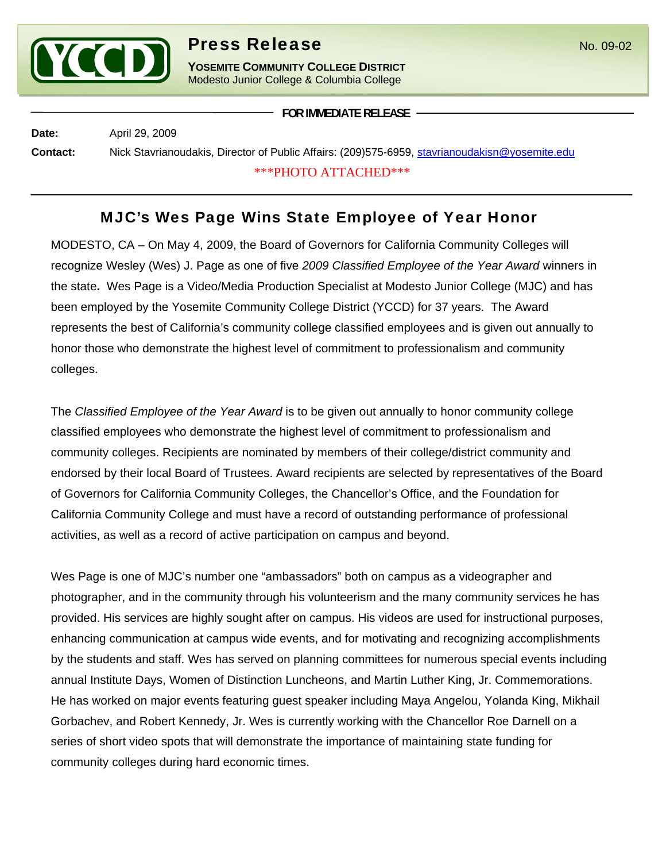

## **Press Release** No. 09-02

**YOSEMITE COMMUNITY COLLEGE DISTRICT** Modesto Junior College & Columbia College

**FOR IMMEDIATE RELEASE**

**Date:** April 29, 2009

**Contact:** Nick Stavrianoudakis, Director of Public Affairs: (209)575-6959, stavrianoudakisn@yosemite.edu

## \*\*\*PHOTO ATTACHED\*\*\*

## MJC's Wes Page Wins State Employee of Year Honor

MODESTO, CA – On May 4, 2009, the Board of Governors for California Community Colleges will recognize Wesley (Wes) J. Page as one of five *2009 Classified Employee of the Year Award* winners in the state**.** Wes Page is a Video/Media Production Specialist at Modesto Junior College (MJC) and has been employed by the Yosemite Community College District (YCCD) for 37 years. The Award represents the best of California's community college classified employees and is given out annually to honor those who demonstrate the highest level of commitment to professionalism and community colleges.

The *Classified Employee of the Year Award* is to be given out annually to honor community college classified employees who demonstrate the highest level of commitment to professionalism and community colleges. Recipients are nominated by members of their college/district community and endorsed by their local Board of Trustees. Award recipients are selected by representatives of the Board of Governors for California Community Colleges, the Chancellor's Office, and the Foundation for California Community College and must have a record of outstanding performance of professional activities, as well as a record of active participation on campus and beyond.

Wes Page is one of MJC's number one "ambassadors" both on campus as a videographer and photographer, and in the community through his volunteerism and the many community services he has provided. His services are highly sought after on campus. His videos are used for instructional purposes, enhancing communication at campus wide events, and for motivating and recognizing accomplishments by the students and staff. Wes has served on planning committees for numerous special events including annual Institute Days, Women of Distinction Luncheons, and Martin Luther King, Jr. Commemorations. He has worked on major events featuring guest speaker including Maya Angelou, Yolanda King, Mikhail Gorbachev, and Robert Kennedy, Jr. Wes is currently working with the Chancellor Roe Darnell on a series of short video spots that will demonstrate the importance of maintaining state funding for community colleges during hard economic times.